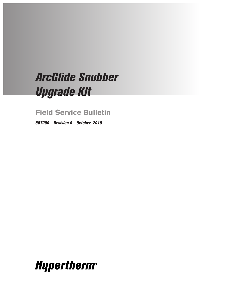## *ArcGlide Snubber Upgrade Kit*

**Field Service Bulletin**

*807200 – Revision 0 – October, 2010*

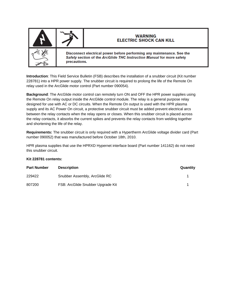

Disconnect electrical power before performing any maintenance. See the Safety section of the ArcGlide THC Instruction Manual for more safety precautions.

**WARNING ELECTRIC SHOCK CAN KILL** 

**Introduction**: This Field Service Bulletin (FSB) describes the installation of a snubber circuit (Kit number 228781) into a HPR power supply. The snubber circuit is required to prolong the life of the Remote On relay used in the ArcGlide motor control (Part number 090054).

**Background**: The ArcGlide motor control can remotely turn ON and OFF the HPR power supplies using the Remote On relay output inside the ArcGlide control module. The relay is a general purpose relay designed for use with AC or DC circuits. When the Remote On output is used with the HPR plasma supply and its AC Power On circuit, a protective snubber circuit must be added prevent electrical arcs between the relay contacts when the relay opens or closes. When this snubber circuit is placed across the relay contacts, it absorbs the current spikes and prevents the relay contacts from welding together and shortening the life of the relay.

**Requirements:** The snubber circuit is only required with a Hypertherm ArcGlide voltage divider card (Part number 090052) that was manufactured before October 18th, 2010.

HPR plasma supplies that use the HPRXD Hypernet interface board (Part number 141162) do not need this snubber circuit.

## **Kit 228781 contents:**

| <b>Part Number</b> | <b>Description</b>                | Quantity |
|--------------------|-----------------------------------|----------|
| 229422             | Snubber Assembly, ArcGlide RC     |          |
| 807200             | FSB: ArcGlide Snubber Upgrade Kit |          |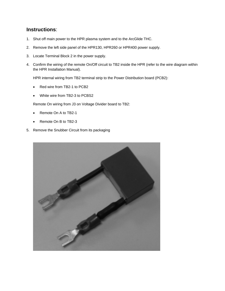## **Instructions**:

- 1. Shut off main power to the HPR plasma system and to the ArcGlide THC.
- 2. Remove the left side panel of the HPR130, HPR260 or HPR400 power supply.
- 3. Locate Terminal Block 2 in the power supply.
- 4. Confirm the wiring of the remote On/Off circuit to TB2 inside the HPR (refer to the wire diagram within the HPR Installation Manual).

HPR internal wiring from TB2 terminal strip to the Power Distribution board (PCB2):

- Red wire from TB2-1 to PCB2
- White wire from TB2-3 to PCBS2

Remote On wiring from J3 on Voltage Divider board to TB2:

- Remote On A to TB2-1
- Remote On B to TB2-3
- 5. Remove the Snubber Circuit from its packaging